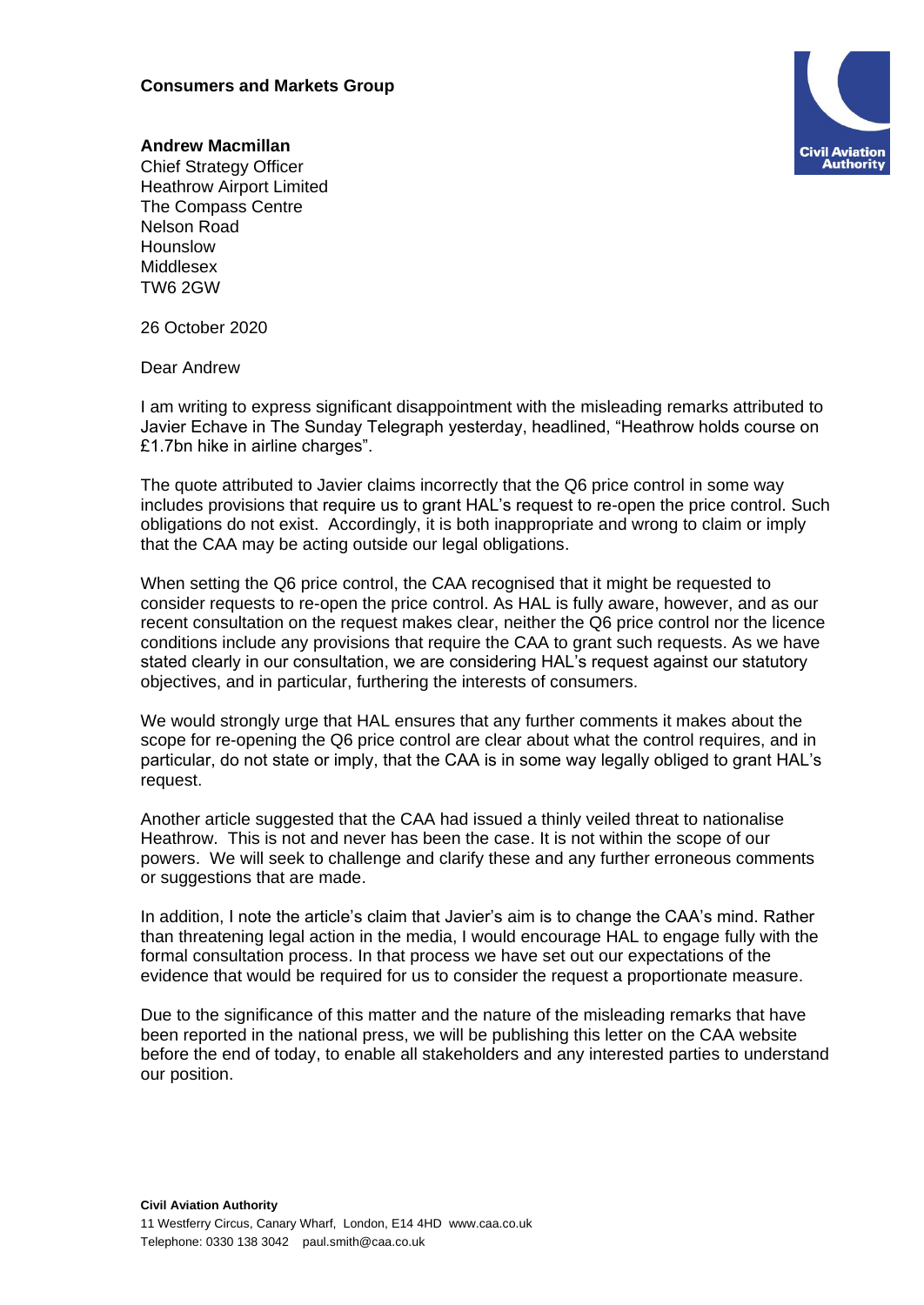## **Consumers and Markets Group**



## **Andrew Macmillan**

Chief Strategy Officer Heathrow Airport Limited The Compass Centre Nelson Road Hounslow Middlesex TW6 2GW

26 October 2020

Dear Andrew

I am writing to express significant disappointment with the misleading remarks attributed to Javier Echave in The Sunday Telegraph yesterday, headlined, "Heathrow holds course on £1.7bn hike in airline charges".

The quote attributed to Javier claims incorrectly that the Q6 price control in some way includes provisions that require us to grant HAL's request to re-open the price control. Such obligations do not exist. Accordingly, it is both inappropriate and wrong to claim or imply that the CAA may be acting outside our legal obligations.

When setting the Q6 price control, the CAA recognised that it might be requested to consider requests to re-open the price control. As HAL is fully aware, however, and as our recent consultation on the request makes clear, neither the Q6 price control nor the licence conditions include any provisions that require the CAA to grant such requests. As we have stated clearly in our consultation, we are considering HAL's request against our statutory objectives, and in particular, furthering the interests of consumers.

We would strongly urge that HAL ensures that any further comments it makes about the scope for re-opening the Q6 price control are clear about what the control requires, and in particular, do not state or imply, that the CAA is in some way legally obliged to grant HAL's request.

Another article suggested that the CAA had issued a thinly veiled threat to nationalise Heathrow. This is not and never has been the case. It is not within the scope of our powers. We will seek to challenge and clarify these and any further erroneous comments or suggestions that are made.

In addition, I note the article's claim that Javier's aim is to change the CAA's mind. Rather than threatening legal action in the media, I would encourage HAL to engage fully with the formal consultation process. In that process we have set out our expectations of the evidence that would be required for us to consider the request a proportionate measure.

Due to the significance of this matter and the nature of the misleading remarks that have been reported in the national press, we will be publishing this letter on the CAA website before the end of today, to enable all stakeholders and any interested parties to understand our position.